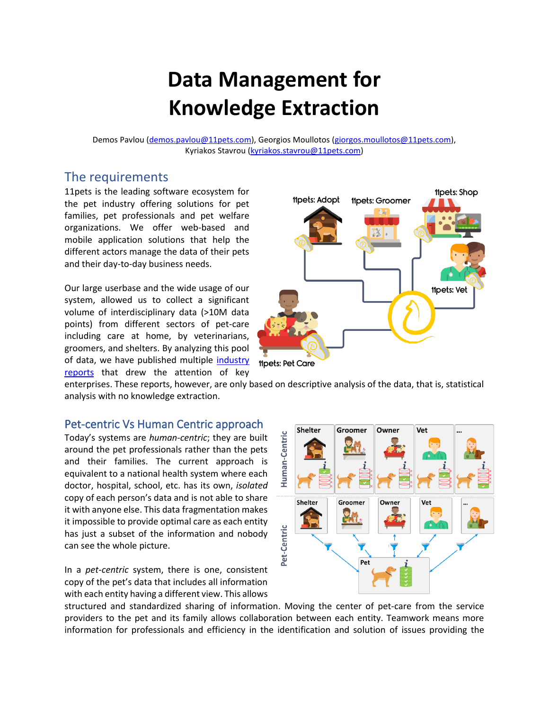# **Data Management for Knowledge Extraction**

Demos Pavlou [\(demos.pavlou@11pets.com\)](mailto:demos.pavlou@11pets.com), Georgios Moullotos [\(giorgos.moullotos@11pets.com\)](mailto:giorgos.moullotos@11pets.com), Kyriakos Stavrou [\(kyriakos.stavrou@11pets.com\)](mailto:kyriakos.stavrou@11pets.com)

#### The requirements

11pets is the leading software ecosystem for the pet industry offering solutions for pet families, pet professionals and pet welfare organizations. We offer web-based and mobile application solutions that help the different actors manage the data of their pets and their day-to-day business needs.

Our large userbase and the wide usage of our system, allowed us to collect a significant volume of interdisciplinary data (>10M data points) from different sectors of pet-care including care at home, by veterinarians, groomers, and shelters. By analyzing this pool of data, we have published multiple [industry](https://www.11pets.com/en/petcare/category/pet-industry-insights)  [reports](https://www.11pets.com/en/petcare/category/pet-industry-insights) that drew the attention of key



enterprises. These reports, however, are only based on descriptive analysis of the data, that is, statistical analysis with no knowledge extraction.

#### Pet-centric Vs Human Centric approach

Today's systems are *human-centric*; they are built around the pet professionals rather than the pets and their families. The current approach is equivalent to a national health system where each doctor, hospital, school, etc. has its own, *isolated* copy of each person's data and is not able to share it with anyone else. This data fragmentation makes it impossible to provide optimal care as each entity has just a subset of the information and nobody can see the whole picture.

In a *pet-centric* system, there is one, consistent copy of the pet's data that includes all information with each entity having a different view. This allows



structured and standardized sharing of information. Moving the center of pet-care from the service providers to the pet and its family allows collaboration between each entity. Teamwork means more information for professionals and efficiency in the identification and solution of issues providing the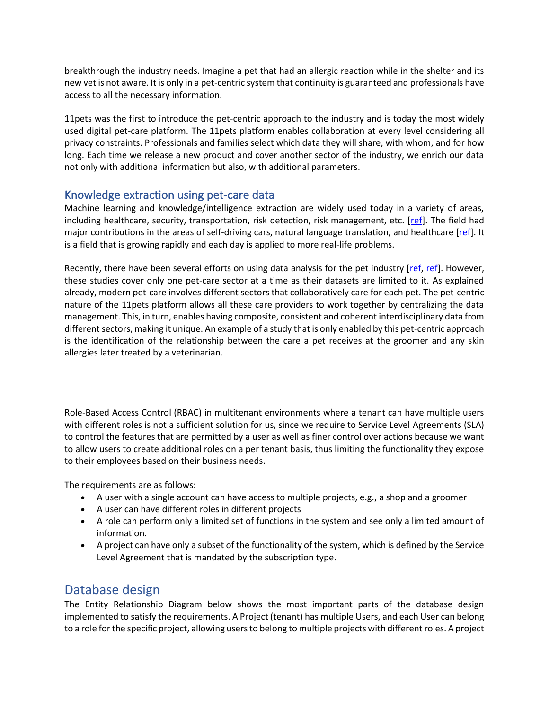breakthrough the industry needs. Imagine a pet that had an allergic reaction while in the shelter and its new vet is not aware. It is only in a pet-centric system that continuity is guaranteed and professionals have access to all the necessary information.

11pets was the first to introduce the pet-centric approach to the industry and is today the most widely used digital pet-care platform. The 11pets platform enables collaboration at every level considering all privacy constraints. Professionals and families select which data they will share, with whom, and for how long. Each time we release a new product and cover another sector of the industry, we enrich our data not only with additional information but also, with additional parameters.

#### Knowledge extraction using pet-care data

Machine learning and knowledge/intelligence extraction are widely used today in a variety of areas, including healthcare, security, transportation, risk detection, risk management, etc. [\[ref\]](https://www.upgrad.com/blog/data-analytics-applications/). The field had major contributions in the areas of self-driving cars, natural language translation, and healthcare [\[ref\]](https://www.cio.com/article/3564694/healthcare-analytics-success-stories.html). It is a field that is growing rapidly and each day is applied to more real-life problems.

Recently, there have been several efforts on using data analysis for the pet industry [\[ref,](https://dl.acm.org/doi/abs/10.1145/3305160.3305164) [ref\]](https://www.computerweekly.com/news/252490238/CDO-interview-Pets-at-Home-uses-data-analytics-to-further-petcare-ecosystem). However, these studies cover only one pet-care sector at a time as their datasets are limited to it. As explained already, modern pet-care involves different sectors that collaboratively care for each pet. The pet-centric nature of the 11pets platform allows all these care providers to work together by centralizing the data management. This, in turn, enables having composite, consistent and coherent interdisciplinary data from different sectors, making it unique. An example of a study that is only enabled by this pet-centric approach is the identification of the relationship between the care a pet receives at the groomer and any skin allergies later treated by a veterinarian.

Role-Based Access Control (RBAC) in multitenant environments where a tenant can have multiple users with different roles is not a sufficient solution for us, since we require to Service Level Agreements (SLA) to control the features that are permitted by a user as well as finer control over actions because we want to allow users to create additional roles on a per tenant basis, thus limiting the functionality they expose to their employees based on their business needs.

The requirements are as follows:

- A user with a single account can have access to multiple projects, e.g., a shop and a groomer
- A user can have different roles in different projects
- A role can perform only a limited set of functions in the system and see only a limited amount of information.
- A project can have only a subset of the functionality of the system, which is defined by the Service Level Agreement that is mandated by the subscription type.

## Database design

The Entity Relationship Diagram below shows the most important parts of the database design implemented to satisfy the requirements. A Project (tenant) has multiple Users, and each User can belong to a role for the specific project, allowing users to belong to multiple projects with different roles. A project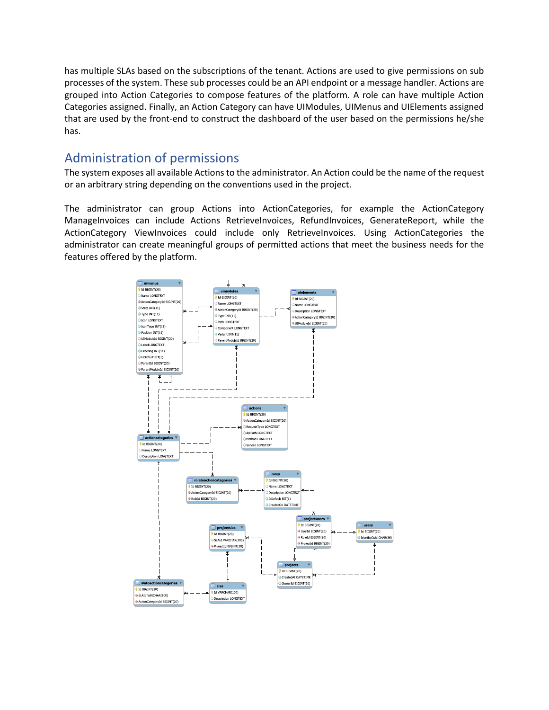has multiple SLAs based on the subscriptions of the tenant. Actions are used to give permissions on sub processes of the system. These sub processes could be an API endpoint or a message handler. Actions are grouped into Action Categories to compose features of the platform. A role can have multiple Action Categories assigned. Finally, an Action Category can have UIModules, UIMenus and UIElements assigned that are used by the front-end to construct the dashboard of the user based on the permissions he/she has.

# Administration of permissions

The system exposes all available Actions to the administrator. An Action could be the name of the request or an arbitrary string depending on the conventions used in the project.

The administrator can group Actions into ActionCategories, for example the ActionCategory ManageInvoices can include Actions RetrieveInvoices, RefundInvoices, GenerateReport, while the ActionCategory ViewInvoices could include only RetrieveInvoices. Using ActionCategories the administrator can create meaningful groups of permitted actions that meet the business needs for the features offered by the platform.

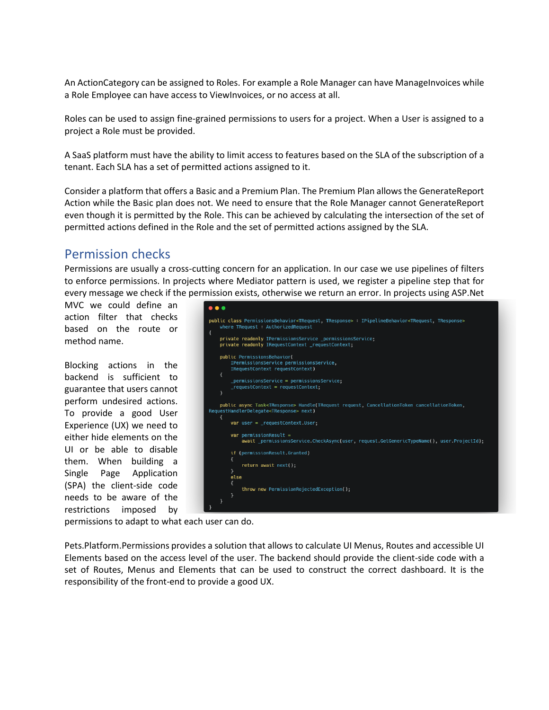An ActionCategory can be assigned to Roles. For example a Role Manager can have ManageInvoices while a Role Employee can have access to ViewInvoices, or no access at all.

Roles can be used to assign fine-grained permissions to users for a project. When a User is assigned to a project a Role must be provided.

A SaaS platform must have the ability to limit access to features based on the SLA of the subscription of a tenant. Each SLA has a set of permitted actions assigned to it.

Consider a platform that offers a Basic and a Premium Plan. The Premium Plan allows the GenerateReport Action while the Basic plan does not. We need to ensure that the Role Manager cannot GenerateReport even though it is permitted by the Role. This can be achieved by calculating the intersection of the set of permitted actions defined in the Role and the set of permitted actions assigned by the SLA.

## Permission checks

Permissions are usually a cross-cutting concern for an application. In our case we use pipelines of filters to enforce permissions. In projects where Mediator pattern is used, we register a pipeline step that for every message we check if the permission exists, otherwise we return an error. In projects using ASP.Net

MVC we could define an action filter that checks based on the route or method name.

Blocking actions in the backend is sufficient to guarantee that users cannot perform undesired actions. To provide a good User Experience (UX) we need to either hide elements on the UI or be able to disable them. When building a Single Page Application (SPA) the client-side code needs to be aware of the restrictions imposed by



permissions to adapt to what each user can do.

Pets.Platform.Permissions provides a solution that allows to calculate UI Menus, Routes and accessible UI Elements based on the access level of the user. The backend should provide the client-side code with a set of Routes, Menus and Elements that can be used to construct the correct dashboard. It is the responsibility of the front-end to provide a good UX.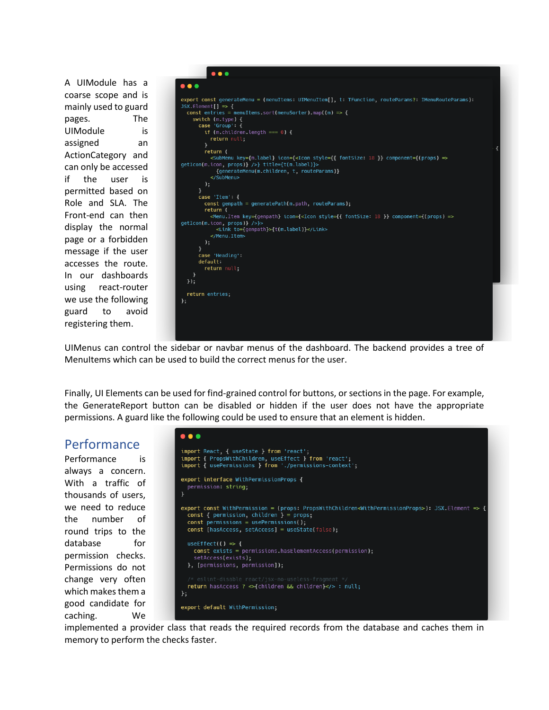A UIModule has a coarse scope and is mainly used to guard pages. The UIModule is assigned an ActionCategory and can only be accessed if the user is permitted based on Role and SLA. The Front-end can then display the normal page or a forbidden message if the user accesses the route. In our dashboards using react-router we use the following guard to avoid registering them.



UIMenus can control the sidebar or navbar menus of the dashboard. The backend provides a tree of MenuItems which can be used to build the correct menus for the user.

Finally, UI Elements can be used for find-grained control for buttons, or sections in the page. For example, the GenerateReport button can be disabled or hidden if the user does not have the appropriate permissions. A guard like the following could be used to ensure that an element is hidden.

### Performance

Performance is always a concern. With a traffic of thousands of users, we need to reduce the number of round trips to the database for permission checks. Permissions do not change very often which makes them a  $\}$ ; good candidate for caching. We



implemented a provider class that reads the required records from the database and caches them in memory to perform the checks faster.